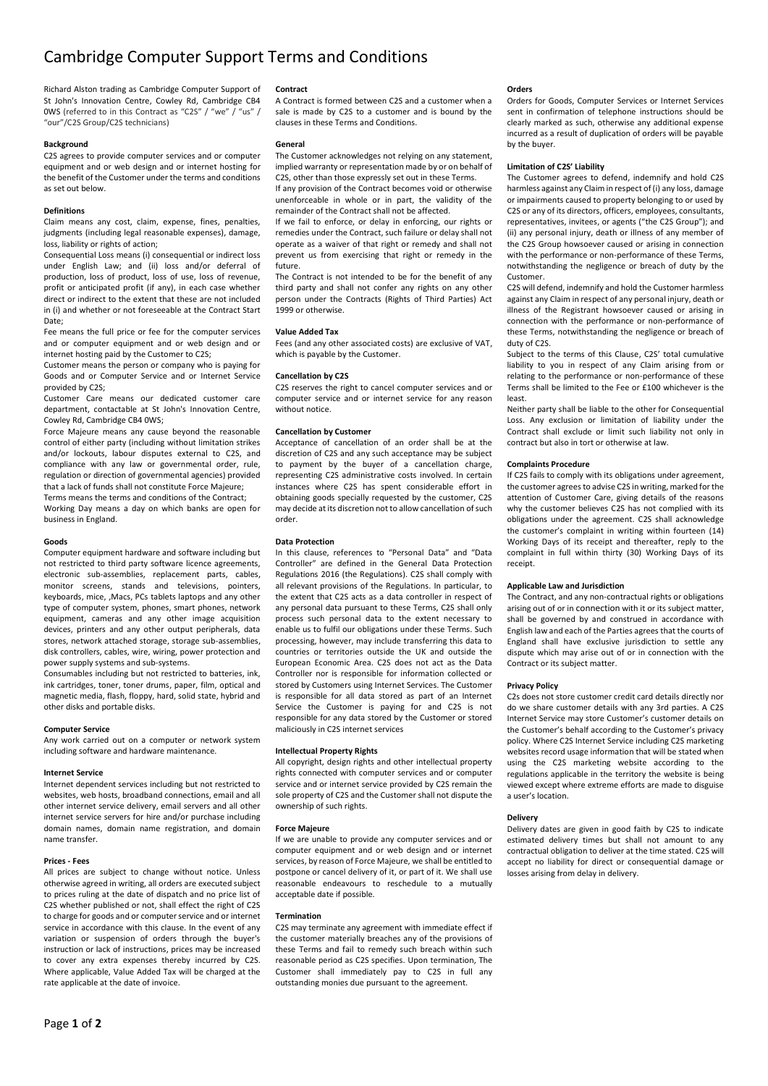# Cambridge Computer Support Terms and Conditions

Richard Alston trading as Cambridge Computer Support of St John's Innovation Centre, Cowley Rd, Cambridge CB4 0WS (referred to in this Contract as "C2S" / "we" / "us" / "our"/C2S Group/C2S technicians)

## **Background**

C2S agrees to provide computer services and or computer equipment and or web design and or internet hosting for the benefit of the Customer under the terms and conditions as set out below.

## **Definitions**

Claim means any cost, claim, expense, fines, penalties, judgments (including legal reasonable expenses), damage, loss, liability or rights of action;

Consequential Loss means (i) consequential or indirect loss under English Law; and (ii) loss and/or deferral of production, loss of product, loss of use, loss of revenue, profit or anticipated profit (if any), in each case whether direct or indirect to the extent that these are not included in (i) and whether or not foreseeable at the Contract Start Date;

Fee means the full price or fee for the computer services and or computer equipment and or web design and or internet hosting paid by the Customer to C2S;

Customer means the person or company who is paying for Goods and or Computer Service and or Internet Service provided by C2S;

Customer Care means our dedicated customer care department, contactable at St John's Innovation Centre, Cowley Rd, Cambridge CB4 0WS;

Force Majeure means any cause beyond the reasonable control of either party (including without limitation strikes and/or lockouts, labour disputes external to C2S, and compliance with any law or governmental order, rule, regulation or direction of governmental agencies) provided that a lack of funds shall not constitute Force Majeure;

Terms means the terms and conditions of the Contract; Working Day means a day on which banks are open for business in England.

## **Goods**

Computer equipment hardware and software including but not restricted to third party software licence agreements, electronic sub-assemblies, replacement parts, cables, monitor screens, stands and televisions, pointers, keyboards, mice, ,Macs, PCs tablets laptops and any other type of computer system, phones, smart phones, network equipment, cameras and any other image acquisition devices, printers and any other output peripherals, data stores, network attached storage, storage sub-assemblies, disk controllers, cables, wire, wiring, power protection and power supply systems and sub-systems.

Consumables including but not restricted to batteries, ink, ink cartridges, toner, toner drums, paper, film, optical and magnetic media, flash, floppy, hard, solid state, hybrid and other disks and portable disks.

#### **Computer Service**

Any work carried out on a computer or network system including software and hardware maintenance.

#### **Internet Service**

Internet dependent services including but not restricted to websites, web hosts, broadband connections, email and all other internet service delivery, email servers and all other internet service servers for hire and/or purchase including domain names, domain name registration, and domain name transfer.

## **Prices - Fees**

All prices are subject to change without notice. Unless otherwise agreed in writing, all orders are executed subject to prices ruling at the date of dispatch and no price list of C2S whether published or not, shall effect the right of C2S to charge for goods and or computer service and or internet service in accordance with this clause. In the event of any variation or suspension of orders through the buyer's instruction or lack of instructions, prices may be increased to cover any extra expenses thereby incurred by C2S. Where applicable, Value Added Tax will be charged at the rate applicable at the date of invoice.

## **Contract**

A Contract is formed between C2S and a customer when a sale is made by C2S to a customer and is bound by the clauses in these Terms and Conditions.

## **General**

The Customer acknowledges not relying on any statement, implied warranty or representation made by or on behalf of C2S, other than those expressly set out in these Terms. If any provision of the Contract becomes void or otherwise unenforceable in whole or in part, the validity of the remainder of the Contract shall not be affected.

If we fail to enforce, or delay in enforcing, our rights or remedies under the Contract, such failure or delay shall not operate as a waiver of that right or remedy and shall not prevent us from exercising that right or remedy in the future.

The Contract is not intended to be for the benefit of any third party and shall not confer any rights on any other person under the Contracts (Rights of Third Parties) Act 1999 or otherwise.

#### **Value Added Tax**

Fees (and any other associated costs) are exclusive of VAT, which is payable by the Customer.

## **Cancellation by C2S**

C2S reserves the right to cancel computer services and or computer service and or internet service for any reason without notice.

# **Cancellation by Customer**

Acceptance of cancellation of an order shall be at the discretion of C2S and any such acceptance may be subject to payment by the buyer of a cancellation charge, representing C2S administrative costs involved. In certain instances where C2S has spent considerable effort in obtaining goods specially requested by the customer, C2S may decide at its discretion not to allow cancellation of such order.

## **Data Protection**

In this clause, references to "Personal Data" and "Data Controller" are defined in the General Data Protection Regulations 2016 (the Regulations). C2S shall comply with all relevant provisions of the Regulations. In particular, to the extent that C2S acts as a data controller in respect of any personal data pursuant to these Terms, C2S shall only process such personal data to the extent necessary to enable us to fulfil our obligations under these Terms. Such processing, however, may include transferring this data to countries or territories outside the UK and outside the European Economic Area. C2S does not act as the Data Controller nor is responsible for information collected or stored by Customers using Internet Services. The Customer is responsible for all data stored as part of an Internet Service the Customer is paying for and C2S is not responsible for any data stored by the Customer or stored maliciously in C2S internet services

## **Intellectual Property Rights**

All copyright, design rights and other intellectual property rights connected with computer services and or computer service and or internet service provided by C2S remain the sole property of C2S and the Customer shall not dispute the ownership of such rights.

#### **Force Majeure**

If we are unable to provide any computer services and or computer equipment and or web design and or internet services, by reason of Force Majeure, we shall be entitled to postpone or cancel delivery of it, or part of it. We shall use reasonable endeavours to reschedule to a mutually acceptable date if possible.

#### **Termination**

C2S may terminate any agreement with immediate effect if the customer materially breaches any of the provisions of these Terms and fail to remedy such breach within such reasonable period as C2S specifies. Upon termination, The Customer shall immediately pay to C2S in full any outstanding monies due pursuant to the agreement.

## **Orders**

Orders for Goods, Computer Services or Internet Services sent in confirmation of telephone instructions should be clearly marked as such, otherwise any additional expense incurred as a result of duplication of orders will be payable by the buyer.

## **Limitation of C2S' Liability**

The Customer agrees to defend, indemnify and hold C2S harmless against any Claim in respect of (i) any loss, damage or impairments caused to property belonging to or used by C2S or any of its directors, officers, employees, consultants, representatives, invitees, or agents ("the C2S Group"); and (ii) any personal injury, death or illness of any member of the C2S Group howsoever caused or arising in connection with the performance or non-performance of these Terms, notwithstanding the negligence or breach of duty by the Customer.

C2S will defend, indemnify and hold the Customer harmless against any Claim in respect of any personal injury, death or illness of the Registrant howsoever caused or arising in connection with the performance or non-performance of these Terms, notwithstanding the negligence or breach of duty of C2S.

Subject to the terms of this Clause, C2S' total cumulative liability to you in respect of any Claim arising from or relating to the performance or non-performance of these Terms shall be limited to the Fee or £100 whichever is the least.

Neither party shall be liable to the other for Consequential Loss. Any exclusion or limitation of liability under the Contract shall exclude or limit such liability not only in contract but also in tort or otherwise at law.

## **Complaints Procedure**

If C2S fails to comply with its obligations under agreement, the customer agrees to advise C2S in writing, marked for the attention of Customer Care, giving details of the reasons why the customer believes C2S has not complied with its obligations under the agreement. C2S shall acknowledge the customer's complaint in writing within fourteen (14) Working Days of its receipt and thereafter, reply to the complaint in full within thirty (30) Working Days of its receipt.

# **Applicable Law and Jurisdiction**

The Contract, and any non-contractual rights or obligations arising out of or in connection with it or its subject matter, shall be governed by and construed in accordance with English law and each of the Parties agrees that the courts of England shall have exclusive jurisdiction to settle any dispute which may arise out of or in connection with the Contract or its subject matter.

## **Privacy Policy**

C2s does not store customer credit card details directly nor do we share customer details with any 3rd parties. A C2S Internet Service may store Customer's customer details on the Customer's behalf according to the Customer's privacy policy. Where C2S Internet Service including C2S marketing websites record usage information that will be stated when using the C2S marketing website according to the regulations applicable in the territory the website is being viewed except where extreme efforts are made to disguise a user's location.

# **Delivery**

Delivery dates are given in good faith by C2S to indicate estimated delivery times but shall not amount to any contractual obligation to deliver at the time stated. C2S will accept no liability for direct or consequential damage or losses arising from delay in delivery.